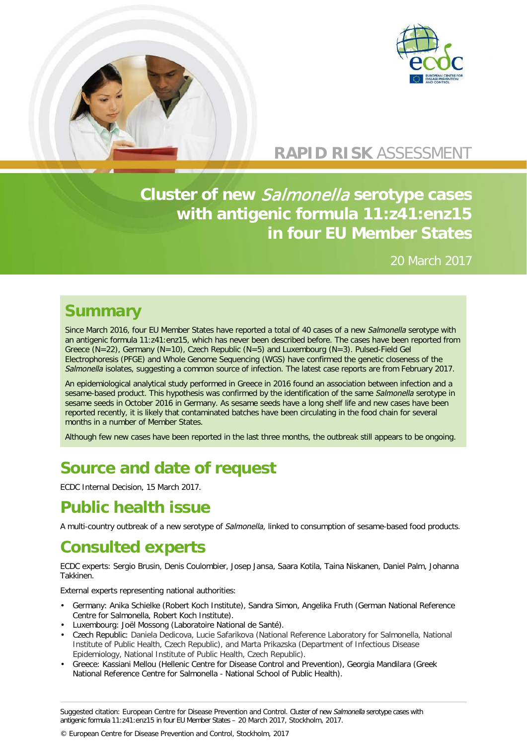



## **RAPID RISK** ASSESSMENT

## **Cluster of new** Salmonella **serotype cases with antigenic formula 11:z41:enz15 in four EU Member States**

### 20 March 2017

## **Summary**

Since March 2016, four EU Member States have reported a total of 40 cases of a new *Salmonella* serotype with an antigenic formula 11:z41:enz15, which has never been described before. The cases have been reported from Greece (N=22), Germany (N=10), Czech Republic (N=5) and Luxembourg (N=3). Pulsed-Field Gel Electrophoresis (PFGE) and Whole Genome Sequencing (WGS) have confirmed the genetic closeness of the *Salmonella* isolates, suggesting a common source of infection. The latest case reports are from February 2017.

An epidemiological analytical study performed in Greece in 2016 found an association between infection and a sesame-based product. This hypothesis was confirmed by the identification of the same *Salmonella* serotype in sesame seeds in October 2016 in Germany. As sesame seeds have a long shelf life and new cases have been reported recently, it is likely that contaminated batches have been circulating in the food chain for several months in a number of Member States.

Although few new cases have been reported in the last three months, the outbreak still appears to be ongoing.

# **Source and date of request**

ECDC Internal Decision, 15 March 2017.

## **Public health issue**

A multi-country outbreak of a new serotype of *Salmonella*, linked to consumption of sesame-based food products.

# **Consulted experts**

ECDC experts: Sergio Brusin, Denis Coulombier, Josep Jansa, Saara Kotila, Taina Niskanen, Daniel Palm, Johanna Takkinen.

External experts representing national authorities:

- Germany: Anika Schielke (Robert Koch Institute), Sandra Simon, Angelika Fruth (German National Reference Centre for Salmonella, Robert Koch Institute).
- Luxembourg: Joël Mossong (Laboratoire National de Santé).
- Czech Republic: Daniela Dedicova, Lucie Safarikova (National Reference Laboratory for Salmonella, National Institute of Public Health, Czech Republic), and Marta Prikazska (Department of Infectious Disease Epidemiology, National Institute of Public Health, Czech Republic).
- Greece: Kassiani Mellou (Hellenic Centre for Disease Control and Prevention), Georgia Mandilara (Greek National Reference Centre for Salmonella - National School of Public Health).

Suggested citation: European Centre for Disease Prevention and Control. Cluster of new *Salmonella* serotype cases with antigenic formula 11:z41:enz15 in four EU Member States – 20 March 2017, Stockholm, 2017.

© European Centre for Disease Prevention and Control, Stockholm, 2017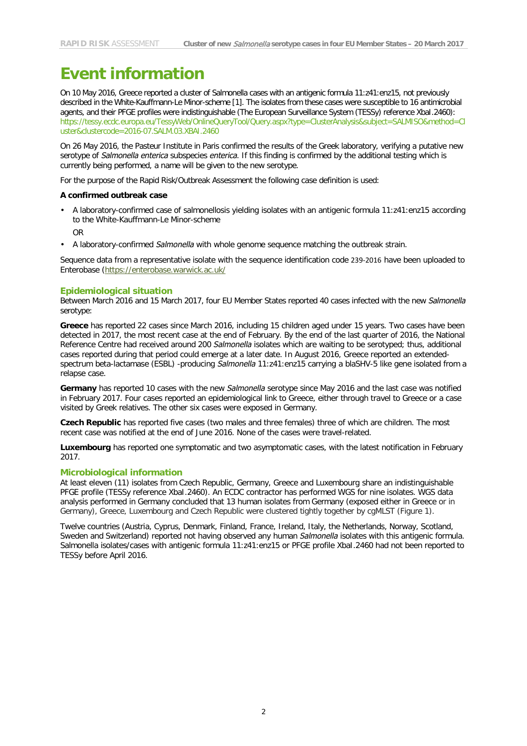## **Event information**

On 10 May 2016, Greece reported a cluster of Salmonella cases with an antigenic formula 11:z41:enz15, not previously described in the White-Kauffmann-Le Minor-scheme [1]. The isolates from these cases were susceptible to 16 antimicrobial agents, and their PFGE profiles were indistinguishable (The European Surveillance System (TESSy) reference XbaI.2460): [https://tessy.ecdc.europa.eu/TessyWeb/OnlineQueryTool/Query.aspx?type=ClusterAnalysis&subject=SALMISO&method=Cl](https://tessy.ecdc.europa.eu/TessyWeb/OnlineQueryTool/Query.aspx?type=ClusterAnalysis&subject=SALMISO&method=Cluster&clustercode=2016-07.SALM.03.XBAI.2460) [uster&clustercode=2016-07.SALM.03.XBAI.2460](https://tessy.ecdc.europa.eu/TessyWeb/OnlineQueryTool/Query.aspx?type=ClusterAnalysis&subject=SALMISO&method=Cluster&clustercode=2016-07.SALM.03.XBAI.2460)

On 26 May 2016, the Pasteur Institute in Paris confirmed the results of the Greek laboratory, verifying a putative new serotype of *Salmonella enterica* subspecies *enterica*. If this finding is confirmed by the additional testing which is currently being performed, a name will be given to the new serotype.

For the purpose of the Rapid Risk/Outbreak Assessment the following case definition is used:

#### **A confirmed outbreak case**

- A laboratory-confirmed case of salmonellosis yielding isolates with an antigenic formula 11:z41:enz15 according to the White-Kauffmann-Le Minor-scheme
	- OR
- A laboratory-confirmed *Salmonella* with whole genome sequence matching the outbreak strain.

Sequence data from a representative isolate with the sequence identification code 239-2016 have been uploaded to Enterobase [\(https://enterobase.warwick.ac.uk/](https://enterobase.warwick.ac.uk/)

#### **Epidemiological situation**

Between March 2016 and 15 March 2017, four EU Member States reported 40 cases infected with the new *Salmonella*  serotype:

**Greece** has reported 22 cases since March 2016, including 15 children aged under 15 years. Two cases have been detected in 2017, the most recent case at the end of February. By the end of the last quarter of 2016, the National Reference Centre had received around 200 *Salmonella* isolates which are waiting to be serotyped; thus, additional cases reported during that period could emerge at a later date. In August 2016, Greece reported an extendedspectrum beta-lactamase (ESBL) -producing *Salmonella* 11:z41:enz15 carrying a blaSHV-5 like gene isolated from a relapse case.

**Germany** has reported 10 cases with the new *Salmonella* serotype since May 2016 and the last case was notified in February 2017. Four cases reported an epidemiological link to Greece, either through travel to Greece or a case visited by Greek relatives. The other six cases were exposed in Germany.

**Czech Republic** has reported five cases (two males and three females) three of which are children. The most recent case was notified at the end of June 2016. None of the cases were travel-related.

**Luxembourg** has reported one symptomatic and two asymptomatic cases, with the latest notification in February 2017.

#### **Microbiological information**

At least eleven (11) isolates from Czech Republic, Germany, Greece and Luxembourg share an indistinguishable PFGE profile (TESSy reference XbaI.2460). An ECDC contractor has performed WGS for nine isolates. WGS data analysis performed in Germany concluded that 13 human isolates from Germany (exposed either in Greece or in Germany), Greece, Luxembourg and Czech Republic were clustered tightly together by cgMLST (Figure 1).

Twelve countries (Austria, Cyprus, Denmark, Finland, France, Ireland, Italy, the Netherlands, Norway, Scotland, Sweden and Switzerland) reported not having observed any human *Salmonella* isolates with this antigenic formula. Salmonella isolates/cases with antigenic formula 11:z41:enz15 or PFGE profile XbaI.2460 had not been reported to TESSy before April 2016.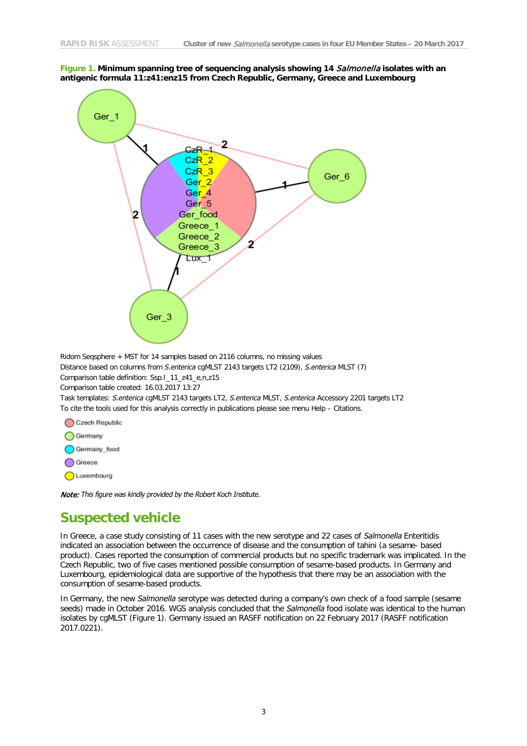

**Figure 1. Minimum spanning tree of sequencing analysis showing 14** Salmonella **isolates with an antigenic formula 11:z41:enz15 from Czech Republic, Germany, Greece and Luxembourg**

Ridom Seqsphere + MST for 14 samples based on 2116 columns, no missing values

Distance based on columns from *S.enterica* cgMLST 2143 targets LT2 (2109), *S.enterica* MLST (7)

Comparison table definition: Ssp.I\_11\_z41\_e,n,z15

Comparison table created: 16.03.2017 13:27

Task templates: *S.enterica* cgMLST 2143 targets LT2, *S.enterica* MLST, *S.enterica* Accessory 2201 targets LT2 To cite the tools used for this analysis correctly in publications please see menu Help – Citations.

Czech Republic ◯ Germany Germany\_food Greece C Luxembourg

Note: *This figure was kindly provided by the Robert Koch Institute.*

### **Suspected vehicle**

In Greece, a case study consisting of 11 cases with the new serotype and 22 cases of *Salmonella* Enteritidis indicated an association between the occurrence of disease and the consumption of tahini (a sesame- based product). Cases reported the consumption of commercial products but no specific trademark was implicated. In the Czech Republic, two of five cases mentioned possible consumption of sesame-based products. In Germany and Luxembourg, epidemiological data are supportive of the hypothesis that there may be an association with the consumption of sesame-based products.

In Germany, the new *Salmonella* serotype was detected during a company's own check of a food sample (sesame seeds) made in October 2016. WGS analysis concluded that the *Salmonella* food isolate was identical to the human isolates by cgMLST (Figure 1). Germany issued an RASFF notification on 22 February 2017 (RASFF notification 2017.0221).